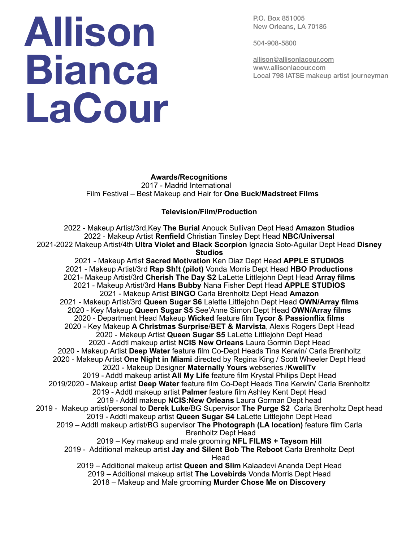## **Allison Bianca LaCour**

P.O. Box 851005 New Orleans, LA 70185

504-908-5800

[allison@allisonlacour.com](mailto:allison@allisonlacour.com) [www.allisonlacour.com](http://www.allisonlacour.com) Local 798 IATSE makeup artist journeyman

 **Awards/Recognitions** 2017 - Madrid International Film Festival – Best Makeup and Hair for **One Buck/Madstreet Films**

## **Television/Film/Production**

2022 - Makeup Artist/3rd,Key **The Burial** Anouck Sullivan Dept Head **Amazon Studios** 2022 - Makeup Artist **Renfield** Christian Tinsley Dept Head **NBC/Universal** 2021-2022 Makeup Artist/4th **Ultra Violet and Black Scorpion** Ignacia Soto-Aguilar Dept Head **Disney Studios** 2021 - Makeup Artist **Sacred Motivation** Ken Diaz Dept Head **APPLE STUDIOS**

2021 - Makeup Artist/3rd **Rap Sh!t (pilot)** Vonda Morris Dept Head **HBO Productions** 2021- Makeup Artist/3rd **Cherish The Day S2** LaLette Littlejohn Dept Head **Array films** 2021 - Makeup Artist/3rd **Hans Bubby** Nana Fisher Dept Head **APPLE STUDIOS** 2021 - Makeup Artist **BINGO** Carla Brenholtz Dept Head **Amazon** 2021 - Makeup Artist/3rd **Queen Sugar S6** Lalette Littlejohn Dept Head **OWN/Array films** 2020 - Key Makeup **Queen Sugar S5** See'Anne Simon Dept Head **OWN/Array films** 2020 - Department Head Makeup **Wicked** feature film **Tycor & Passionflix films** 2020 - Key Makeup **A Christmas Surprise**/**BET & Marvista**, Alexis Rogers Dept Head 2020 - Makeup Artist **Queen Sugar S5** LaLette Littlejohn Dept Head 2020 - Addtl makeup artist **NCIS New Orleans** Laura Gormin Dept Head 2020 - Makeup Artist **Deep Water** feature film Co-Dept Heads Tina Kerwin/ Carla Brenholtz 2020 - Makeup Artist **One Night in Miami** directed by Regina King / Scott Wheeler Dept Head 2020 - Makeup Designer **Maternally Yours** webseries /**KweliTv** 2019 - Addtl makeup artist **All My Life** feature film Krystal Philips Dept Head 2019/2020 - Makeup artist **Deep Water** feature film Co-Dept Heads Tina Kerwin/ Carla Brenholtz 2019 - Addtl makeup artist **Palmer** feature film Ashley Kent Dept Head 2019 - Addtl makeup **NCIS:New Orleans** Laura Gorman Dept head 2019 - Makeup artist/personal to **Derek Luke**/BG Supervisor **The Purge S2** Carla Brenholtz Dept head 2019 - Addtl makeup artist **Queen Sugar S4** LaLette Littlejohn Dept Head 2019 – Addtl makeup artist/BG supervisor **The Photograph (LA location)** feature film Carla Brenholtz Dept Head 2019 – Key makeup and male grooming **NFL FILMS + Taysom Hill** 2019 - Additional makeup artist **Jay and Silent Bob The Reboot** Carla Brenholtz Dept Head 2019 – Additional makeup artist **Queen and Slim** Kalaadevi Ananda Dept Head 2019 – Additional makeup artist **The Lovebirds** Vonda Morris Dept Head 2018 – Makeup and Male grooming **Murder Chose Me on Discovery**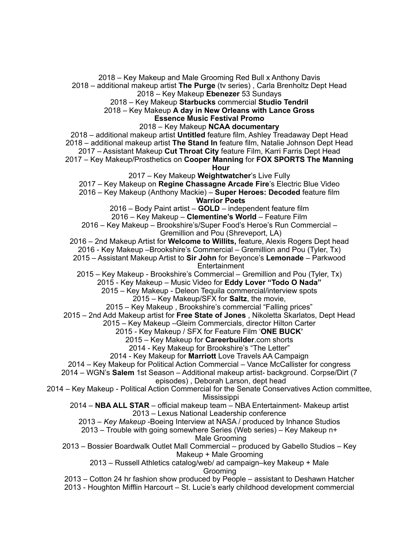2018 – Key Makeup and Male Grooming Red Bull x Anthony Davis 2018 – additional makeup artist **The Purge** (tv series) , Carla Brenholtz Dept Head 2018 – Key Makeup **Ebenezer** 53 Sundays 2018 – Key Makeup **Starbucks** commercial **Studio Tendril** 2018 – Key Makeup **A day in New Orleans with Lance Gross Essence Music Festival Promo** 2018 – Key Makeup **NCAA documentary** 2018 – additional makeup artist **Untitled** feature film, Ashley Treadaway Dept Head 2018 – additional makeup artist **The Stand In** feature film, Natalie Johnson Dept Head 2017 – Assistant Makeup **Cut Throat City** feature Film, Karri Farris Dept Head 2017 – Key Makeup/Prosthetics on **Cooper Manning** for **FOX SPORTS The Manning Hour** 2017 – Key Makeup **Weightwatcher**'s Live Fully 2017 – Key Makeup on **Regine Chassagne Arcade Fire**'s Electric Blue Video 2016 – Key Makeup (Anthony Mackie) – **Super Heroes: Decoded** feature film **Warrior Poets** 2016 – Body Paint artist – **GOLD** – independent feature film 2016 – Key Makeup – **Clementine's World** – Feature Film 2016 – Key Makeup – Brookshire's/Super Food's Heroe's Run Commercial – Gremillion and Pou (Shreveport, LA) 2016 – 2nd Makeup Artist for **Welcome to Willits,** feature, Alexis Rogers Dept head 2016 - Key Makeup –Brookshire's Commercial – Gremillion and Pou (Tyler, Tx) 2015 – Assistant Makeup Artist to **Sir John** for Beyonce's **Lemonade** – Parkwood **Entertainment** 2015 – Key Makeup - Brookshire's Commercial – Gremillion and Pou (Tyler, Tx) 2015 - Key Makeup – Music Video for **Eddy Lover "Todo O Nada"** 2015 – Key Makeup - Deleon Tequila commercial/interview spots 2015 – Key Makeup/SFX for **Saltz**, the movie, 2015 – Key Makeup , Brookshire's commercial "Falling prices" 2015 – 2nd Add Makeup artist for **Free State of Jones** , Nikoletta Skarlatos, Dept Head 2015 – Key Makeup –Gleim Commercials, director Hilton Carter 2015 - Key Makeup / SFX for Feature Film '**ONE BUCK'** 2015 – Key Makeup for **Careerbuilder**.com shorts 2014 - Key Makeup for Brookshire's "The Letter" 2014 - Key Makeup for **Marriott** Love Travels AA Campaign 2014 – Key Makeup for Political Action Commercial – Vance McCallister for congress 2014 – WGN's **Salem** 1st Season – Additional makeup artist- background. Corpse/Dirt (7 episodes) , Deborah Larson, dept head 2014 – Key Makeup - Political Action Commercial for the Senate Conservatives Action committee, Mississippi 2014 – **NBA ALL STAR** – official makeup team – NBA Entertainment- Makeup artist 2013 – Lexus National Leadership conference 2013 – *Key Makeup* -Boeing Interview at NASA / produced by Inhance Studios 2013 – Trouble with going somewhere Series (Web series) – Key Makeup n+ Male Grooming 2013 – Bossier Boardwalk Outlet Mall Commercial – produced by Gabello Studios – Key Makeup + Male Grooming 2013 – Russell Athletics catalog/web/ ad campaign–key Makeup + Male Grooming 2013 – Cotton 24 hr fashion show produced by People – assistant to Deshawn Hatcher 2013 - Houghton Mifflin Harcourt – St. Lucie's early childhood development commercial